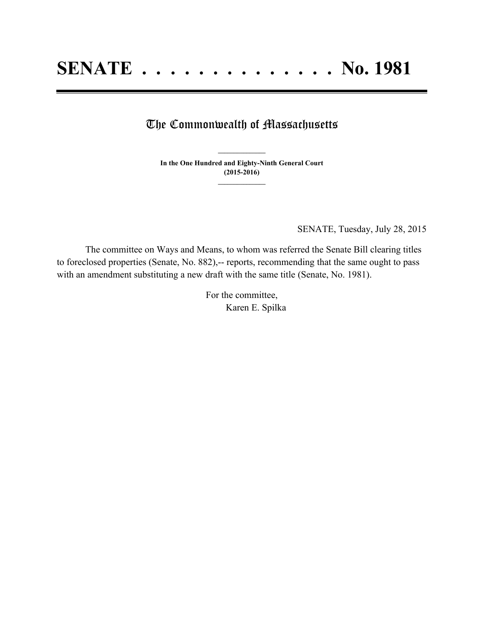## The Commonwealth of Massachusetts

**In the One Hundred and Eighty-Ninth General Court (2015-2016) \_\_\_\_\_\_\_\_\_\_\_\_\_\_\_**

**\_\_\_\_\_\_\_\_\_\_\_\_\_\_\_**

SENATE, Tuesday, July 28, 2015

The committee on Ways and Means, to whom was referred the Senate Bill clearing titles to foreclosed properties (Senate, No. 882),-- reports, recommending that the same ought to pass with an amendment substituting a new draft with the same title (Senate, No. 1981).

> For the committee, Karen E. Spilka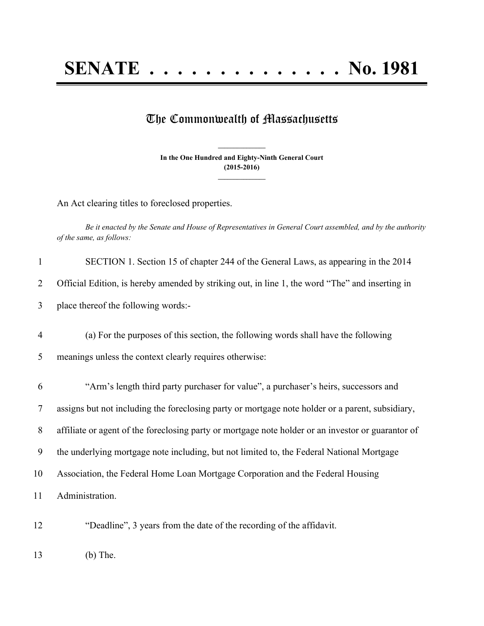## **SENATE . . . . . . . . . . . . . . No. 1981**

## The Commonwealth of Massachusetts

**In the One Hundred and Eighty-Ninth General Court (2015-2016) \_\_\_\_\_\_\_\_\_\_\_\_\_\_\_**

**\_\_\_\_\_\_\_\_\_\_\_\_\_\_\_**

An Act clearing titles to foreclosed properties.

Be it enacted by the Senate and House of Representatives in General Court assembled, and by the authority *of the same, as follows:*

| $\mathbf{1}$   | SECTION 1. Section 15 of chapter 244 of the General Laws, as appearing in the 2014                 |
|----------------|----------------------------------------------------------------------------------------------------|
| 2              | Official Edition, is hereby amended by striking out, in line 1, the word "The" and inserting in    |
| 3              | place thereof the following words:-                                                                |
| $\overline{4}$ | (a) For the purposes of this section, the following words shall have the following                 |
| 5              | meanings unless the context clearly requires otherwise:                                            |
| 6              | "Arm's length third party purchaser for value", a purchaser's heirs, successors and                |
| 7              | assigns but not including the foreclosing party or mortgage note holder or a parent, subsidiary,   |
| 8              | affiliate or agent of the foreclosing party or mortgage note holder or an investor or guarantor of |
| 9              | the underlying mortgage note including, but not limited to, the Federal National Mortgage          |
| 10             | Association, the Federal Home Loan Mortgage Corporation and the Federal Housing                    |
| 11             | Administration.                                                                                    |
|                |                                                                                                    |

12 "Deadline", 3 years from the date of the recording of the affidavit.

13 (b) The.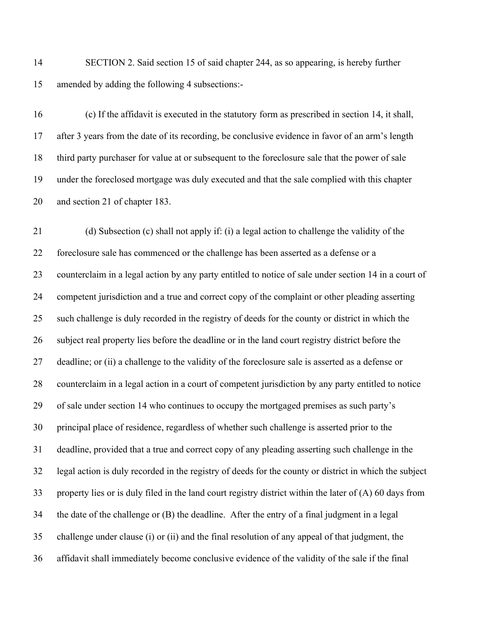SECTION 2. Said section 15 of said chapter 244, as so appearing, is hereby further amended by adding the following 4 subsections:-

 (c) If the affidavit is executed in the statutory form as prescribed in section 14, it shall, after 3 years from the date of its recording, be conclusive evidence in favor of an arm's length third party purchaser for value at or subsequent to the foreclosure sale that the power of sale under the foreclosed mortgage was duly executed and that the sale complied with this chapter and section 21 of chapter 183.

 (d) Subsection (c) shall not apply if: (i) a legal action to challenge the validity of the foreclosure sale has commenced or the challenge has been asserted as a defense or a counterclaim in a legal action by any party entitled to notice of sale under section 14 in a court of competent jurisdiction and a true and correct copy of the complaint or other pleading asserting such challenge is duly recorded in the registry of deeds for the county or district in which the subject real property lies before the deadline or in the land court registry district before the deadline; or (ii) a challenge to the validity of the foreclosure sale is asserted as a defense or counterclaim in a legal action in a court of competent jurisdiction by any party entitled to notice of sale under section 14 who continues to occupy the mortgaged premises as such party's principal place of residence, regardless of whether such challenge is asserted prior to the deadline, provided that a true and correct copy of any pleading asserting such challenge in the legal action is duly recorded in the registry of deeds for the county or district in which the subject property lies or is duly filed in the land court registry district within the later of (A) 60 days from the date of the challenge or (B) the deadline. After the entry of a final judgment in a legal challenge under clause (i) or (ii) and the final resolution of any appeal of that judgment, the affidavit shall immediately become conclusive evidence of the validity of the sale if the final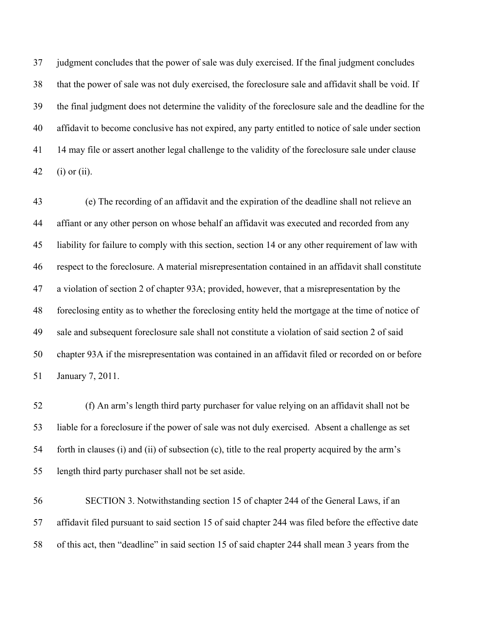judgment concludes that the power of sale was duly exercised. If the final judgment concludes that the power of sale was not duly exercised, the foreclosure sale and affidavit shall be void. If the final judgment does not determine the validity of the foreclosure sale and the deadline for the affidavit to become conclusive has not expired, any party entitled to notice of sale under section 14 may file or assert another legal challenge to the validity of the foreclosure sale under clause (i) or (ii).

 (e) The recording of an affidavit and the expiration of the deadline shall not relieve an affiant or any other person on whose behalf an affidavit was executed and recorded from any liability for failure to comply with this section, section 14 or any other requirement of law with respect to the foreclosure. A material misrepresentation contained in an affidavit shall constitute a violation of section 2 of chapter 93A; provided, however, that a misrepresentation by the foreclosing entity as to whether the foreclosing entity held the mortgage at the time of notice of sale and subsequent foreclosure sale shall not constitute a violation of said section 2 of said chapter 93A if the misrepresentation was contained in an affidavit filed or recorded on or before January 7, 2011.

 (f) An arm's length third party purchaser for value relying on an affidavit shall not be liable for a foreclosure if the power of sale was not duly exercised. Absent a challenge as set forth in clauses (i) and (ii) of subsection (c), title to the real property acquired by the arm's length third party purchaser shall not be set aside.

 SECTION 3. Notwithstanding section 15 of chapter 244 of the General Laws, if an affidavit filed pursuant to said section 15 of said chapter 244 was filed before the effective date of this act, then "deadline" in said section 15 of said chapter 244 shall mean 3 years from the